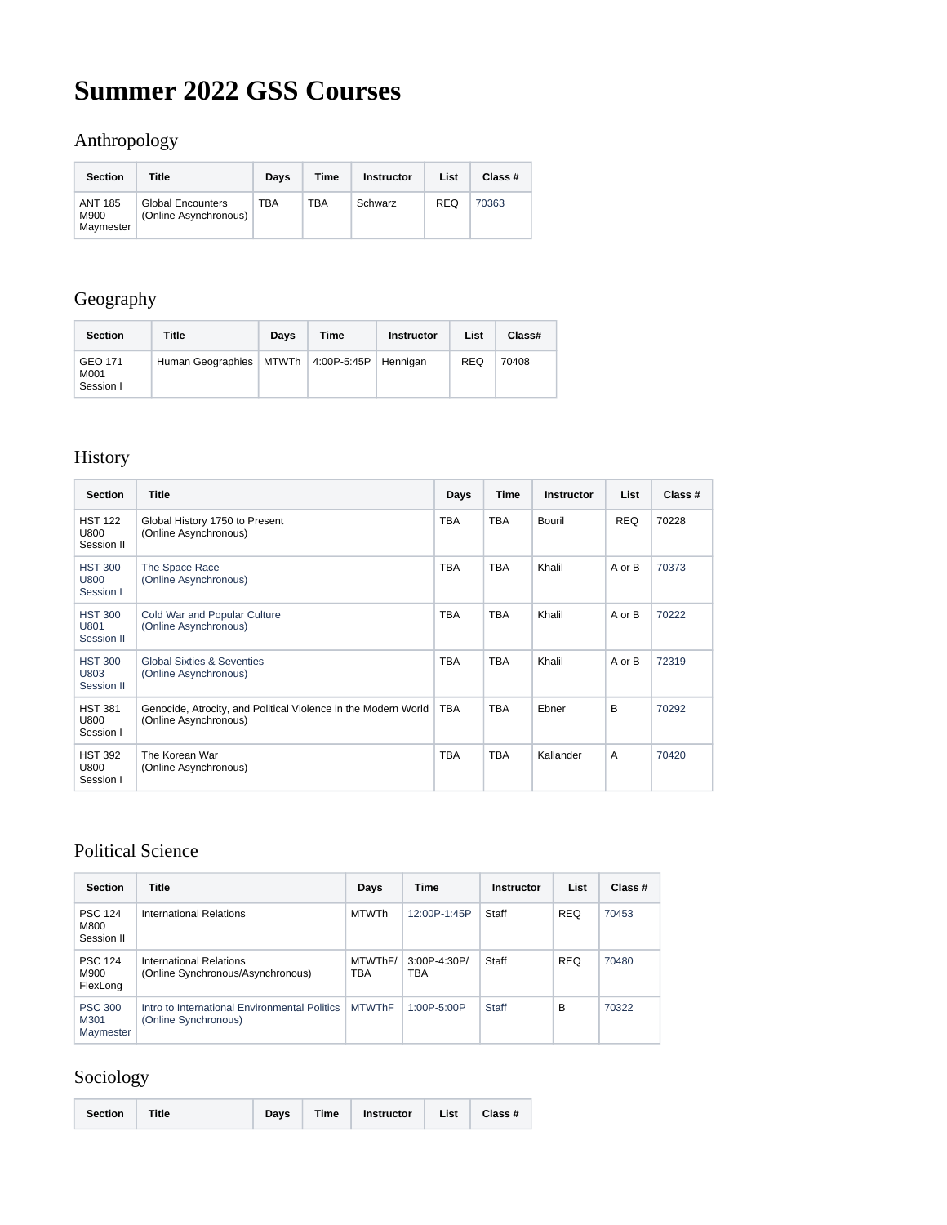# **Summer 2022 GSS Courses**

## Anthropology

| <b>Section</b>               | Title                                             | Davs | Time | <b>Instructor</b> | List       | Class # |
|------------------------------|---------------------------------------------------|------|------|-------------------|------------|---------|
| ANT 185<br>M900<br>Maymester | <b>Global Encounters</b><br>(Online Asynchronous) | TBA  | TBA  | Schwarz           | <b>REQ</b> | 70363   |

## Geography

| <b>Section</b>               | Title                                   | Davs | Time | <b>Instructor</b> | List       | Class# |
|------------------------------|-----------------------------------------|------|------|-------------------|------------|--------|
| GEO 171<br>M001<br>Session I | Human Geographies   MTWTh   4:00P-5:45P |      |      | Hennigan          | <b>REQ</b> | 70408  |

#### History

| <b>Section</b>                       | <b>Title</b>                                                                            | Days       | <b>Time</b> | <b>Instructor</b> | <b>List</b> | Class # |
|--------------------------------------|-----------------------------------------------------------------------------------------|------------|-------------|-------------------|-------------|---------|
| <b>HST 122</b><br>U800<br>Session II | Global History 1750 to Present<br>(Online Asynchronous)                                 | <b>TBA</b> | <b>TBA</b>  | Bouril            | <b>REQ</b>  | 70228   |
| <b>HST 300</b><br>U800<br>Session I  | The Space Race<br>(Online Asynchronous)                                                 | TBA        | <b>TBA</b>  | Khalil            | A or B      | 70373   |
| <b>HST 300</b><br>U801<br>Session II | Cold War and Popular Culture<br>(Online Asynchronous)                                   | <b>TBA</b> | <b>TBA</b>  | Khalil            | A or B      | 70222   |
| <b>HST 300</b><br>U803<br>Session II | <b>Global Sixties &amp; Seventies</b><br>(Online Asynchronous)                          | <b>TBA</b> | <b>TBA</b>  | Khalil            | A or B      | 72319   |
| <b>HST 381</b><br>U800<br>Session I  | Genocide, Atrocity, and Political Violence in the Modern World<br>(Online Asynchronous) | <b>TBA</b> | <b>TBA</b>  | Ebner             | B           | 70292   |
| <b>HST 392</b><br>U800<br>Session I  | The Korean War<br>(Online Asynchronous)                                                 | <b>TBA</b> | <b>TBA</b>  | Kallander         | A           | 70420   |

### Political Science

| <b>Section</b>                       | Title                                                                 | Days           | Time                | <b>Instructor</b> | List       | Class # |
|--------------------------------------|-----------------------------------------------------------------------|----------------|---------------------|-------------------|------------|---------|
| <b>PSC 124</b><br>M800<br>Session II | International Relations                                               | <b>MTWTh</b>   | 12:00P-1:45P        | Staff             | <b>REQ</b> | 70453   |
| <b>PSC 124</b><br>M900<br>FlexLong   | International Relations<br>(Online Synchronous/Asynchronous)          | MTWThF/<br>TBA | 3:00P-4:30P/<br>TBA | Staff             | <b>REQ</b> | 70480   |
| <b>PSC 300</b><br>M301<br>Maymester  | Intro to International Environmental Politics<br>(Online Synchronous) | <b>MTWThF</b>  | $1:00P - 5:00P$     | Staff             | B          | 70322   |

#### Sociology

| <b>Section</b> | <b>Title</b> | Davs | <b>Time</b> | Instructor List Class # |  |  |
|----------------|--------------|------|-------------|-------------------------|--|--|
|----------------|--------------|------|-------------|-------------------------|--|--|